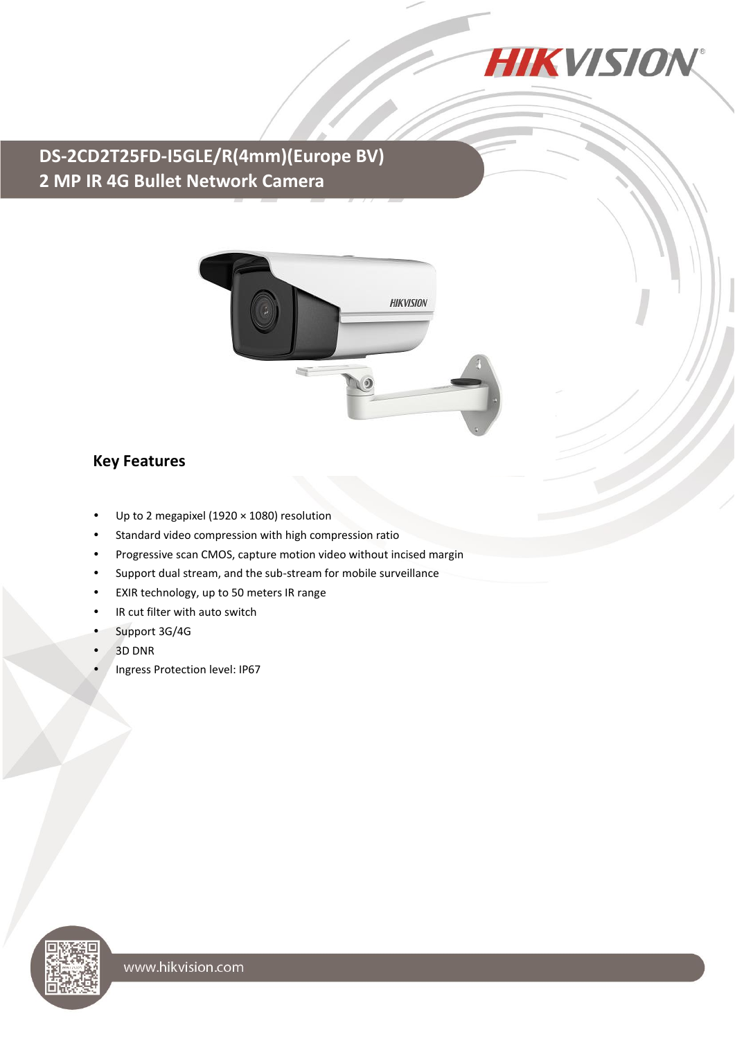

## **DS-2CD2T25FD-I5GLE/R(4mm)(Europe BV) 2 MP IR 4G Bullet Network Camera**



## **Key Features**

- Up to 2 megapixel (1920 × 1080) resolution
- Standard video compression with high compression ratio
- Progressive scan CMOS, capture motion video without incised margin
- Support dual stream, and the sub-stream for mobile surveillance
- EXIR technology, up to 50 meters IR range
- IR cut filter with auto switch
- Support 3G/4G
- 3D DNR
- Ingress Protection level: IP67

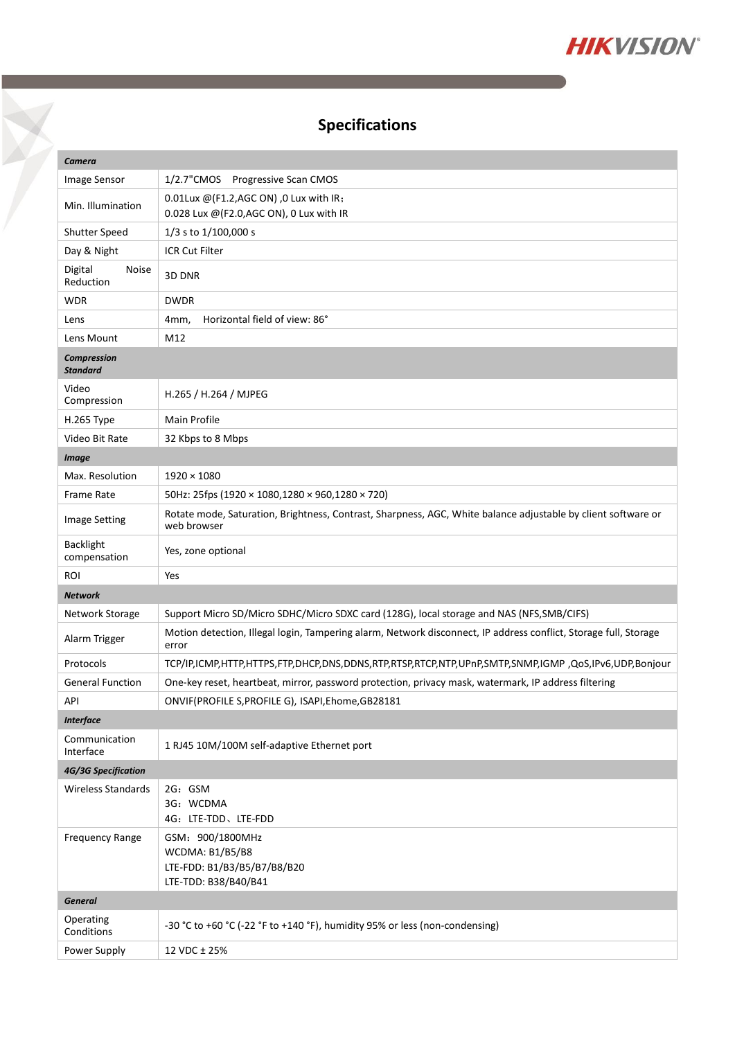

## **Specifications**

X

| Camera                                |                                                                                                                              |
|---------------------------------------|------------------------------------------------------------------------------------------------------------------------------|
| Image Sensor                          | 1/2.7"CMOS<br>Progressive Scan CMOS                                                                                          |
| Min. Illumination                     | 0.01Lux @(F1.2,AGC ON), 0 Lux with IR;<br>0.028 Lux @(F2.0, AGC ON), 0 Lux with IR                                           |
| Shutter Speed                         | 1/3 s to 1/100,000 s                                                                                                         |
| Day & Night                           | <b>ICR Cut Filter</b>                                                                                                        |
| Digital<br><b>Noise</b><br>Reduction  | 3D DNR                                                                                                                       |
| <b>WDR</b>                            | <b>DWDR</b>                                                                                                                  |
| Lens                                  | Horizontal field of view: 86°<br>4mm,                                                                                        |
| Lens Mount                            | M12                                                                                                                          |
| <b>Compression</b><br><b>Standard</b> |                                                                                                                              |
| Video<br>Compression                  | H.265 / H.264 / MJPEG                                                                                                        |
| H.265 Type                            | Main Profile                                                                                                                 |
| Video Bit Rate                        | 32 Kbps to 8 Mbps                                                                                                            |
| <b>Image</b>                          |                                                                                                                              |
| Max. Resolution                       | $1920 \times 1080$                                                                                                           |
| Frame Rate                            | 50Hz: 25fps (1920 × 1080,1280 × 960,1280 × 720)                                                                              |
| <b>Image Setting</b>                  | Rotate mode, Saturation, Brightness, Contrast, Sharpness, AGC, White balance adjustable by client software or<br>web browser |
| <b>Backlight</b><br>compensation      | Yes, zone optional                                                                                                           |
| ROI                                   | Yes                                                                                                                          |
| <b>Network</b>                        |                                                                                                                              |
| Network Storage                       | Support Micro SD/Micro SDHC/Micro SDXC card (128G), local storage and NAS (NFS, SMB/CIFS)                                    |
| Alarm Trigger                         | Motion detection, Illegal login, Tampering alarm, Network disconnect, IP address conflict, Storage full, Storage<br>error    |
| Protocols                             | TCP/IP,ICMP,HTTP,HTTPS,FTP,DHCP,DNS,DDNS,RTP,RTSP,RTCP,NTP,UPnP,SMTP,SNMP,IGMP,QoS,IPv6,UDP,Bonjour                          |
| <b>General Function</b>               | One-key reset, heartbeat, mirror, password protection, privacy mask, watermark, IP address filtering                         |
| API                                   | ONVIF(PROFILE S, PROFILE G), ISAPI, Ehome, GB28181                                                                           |
| <b>Interface</b>                      |                                                                                                                              |
| Communication<br>Interface            | 1 RJ45 10M/100M self-adaptive Ethernet port                                                                                  |
| 4G/3G Specification                   |                                                                                                                              |
| Wireless Standards                    | 2G: GSM<br>3G: WCDMA<br>4G: LTE-TDD、LTE-FDD                                                                                  |
| <b>Frequency Range</b>                | GSM: 900/1800MHz<br><b>WCDMA: B1/B5/B8</b><br>LTE-FDD: B1/B3/B5/B7/B8/B20<br>LTE-TDD: B38/B40/B41                            |
| <b>General</b>                        |                                                                                                                              |
| Operating<br>Conditions               | -30 °C to +60 °C (-22 °F to +140 °F), humidity 95% or less (non-condensing)                                                  |
| Power Supply                          | 12 VDC ± 25%                                                                                                                 |